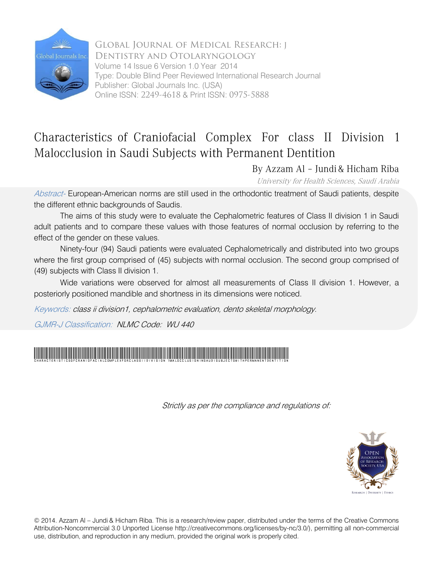

Global Journal of Medical Research: J Dentistry and Otolaryngology Volume 14 Issue 6 Version 1.0 Year 2014 Type: Double Blind Peer Reviewed International Research Journal Publisher: Global Journals Inc. (USA) Online ISSN: 2249-4618 & Print ISSN: 0975-5888

# Characteristics of Craniofacial Complex For class II Division 1 Malocclusion in Saudi Subjects with Permanent Dentition

By Azzam Al – Jundi & Hicham Riba

University for Health Sciences, Saudi Arabia

Abstract- European-American norms are still used in the orthodontic treatment of Saudi patients, despite the different ethnic backgrounds of Saudis.

The aims of this study were to evaluate the Cephalometric features of Class II division 1 in Saudi adult patients and to compare these values with those features of normal occlusion by referring to the effect of the gender on these values.

Ninety-four (94) Saudi patients were evaluated Cephalometrically and distributed into two groups where the first group comprised of (45) subjects with normal occlusion. The second group comprised of (49) subjects with Class II division 1.

Wide variations were observed for almost all measurements of Class II division 1. However, a posteriorly positioned mandible and shortness in its dimensions were noticed.

Keywords: class ii division1, cephalometric evaluation, dento skeletal morphology.

GJMR-J Classification: NLMC Code: WU 440



Strictly as per the compliance and regulations of:



© 2014. Azzam Al – Jundi & Hicham Riba. This is a research/review paper, distributed under the terms of the Creative Commons Attribution-Noncommercial 3.0 Unported License http://creativecommons.org/licenses/by-nc/3.0/), permitting all non-commercial use, distribution, and reproduction in any medium, provided the original work is properly cited.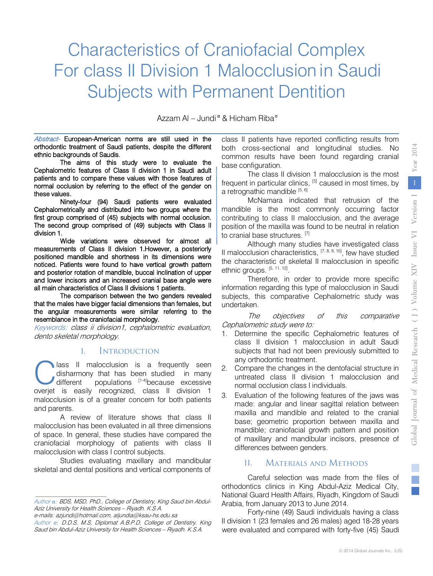# Characteristics of Craniofacial Complex For class II Division 1 Malocclusion in Saudi Subjects with Permanent Dentition

Azzam Al – Jundi  $\alpha$  & Hicham Riba $\alpha$ 

Abstract- European-American norms are still used in the orthodontic treatment of Saudi patients, despite the different ethnic backgrounds of Saudis.

The aims of this study were to evaluate the Cephalometric features of Class II division 1 in Saudi adult patients and to compare these values with those features of normal occlusion by referring to the effect of the gender on these values.

Ninety-four (94) Saudi patients were evaluated Cephalometrically and distributed into two groups where the first group comprised of (45) subjects with normal occlusion. The second group comprised of (49) subjects with Class II division 1.

Wide variations were observed for almost all measurements of Class II division 1.However, a posteriorly positioned mandible and shortness in its dimensions were noticed. Patients were found to have vertical growth pattern and posterior rotation of mandible, buccal inclination of upper and lower incisors and an increased cranial base angle were all main characteristics of Class II divisions 1 patients.

The comparison between the two genders revealed that the males have bigger facial dimensions than females, but the angular measurements were similar referring to the resemblance in the craniofacial morphology.

Keywords: class ii division1, cephalometric evaluation, dento skeletal morphology.

#### I. Introduction

lass II malocclusion is a frequently seen disharmony that has been studied in many different populations [1-4]because excessive **C** lass II malocclusion is a frequently seen disharmony that has been studied in many different populations  $[1-4]$  because excessive overjet is easily recognized, class II division 1 malocclusion is of a greater concern for both patients and parents.

A review of literature shows that class II malocclusion has been evaluated in all three dimensions of space. In general, these studies have compared the craniofacial morphology of patients with class II malocclusion with class I control subjects.

Studies evaluating maxillary and mandibular skeletal and dental positions and vertical components of

e-mails: azjundi@hotmail.com, aljundia@ksau-hs.edu.sa Author *σ:* D.D.S, M.S, Diplomat A.B.P.D, College of Dentistry, King class II patients have reported conflicting results from both cross-sectional and longitudinal studies. No common results have been found regarding cranial base configuration.

The class II division 1 malocclusion is the most frequent in particular clinics,  $[5]$  caused in most times, by a retrognathic mandible  $[5, 6]$ 

McNamara indicated that retrusion of the mandible is the most commonly occurring factor contributing to class II malocclusion, and the average position of the maxilla was found to be neutral in relation to cranial base structures. [7]

Although many studies have investigated class II malocclusion characteristics, [7, 8, 9, 10], few have studied the characteristic of skeletal II malocclusion in specific ethnic groups. [5, 11, 12].

Therefore, in order to provide more specific information regarding this type of malocclusion in Saudi subjects, this comparative Cephalometric study was undertaken.

The objectives of this comparative Cephalometric study were to:

- 1. Determine the specific Cephalometric features of class II division 1 malocclusion in adult Saudi subjects that had not been previously submitted to any orthodontic treatment.
- 2. Compare the changes in the dentofacial structure in untreated class II division 1 malocclusion and normal occlusion class I individuals.
- 3. Evaluation of the following features of the jaws was made: angular and linear sagittal relation between maxilla and mandible and related to the cranial base; geometric proportion between maxilla and mandible; craniofacial growth pattern and position of maxillary and mandibular incisors, presence of differences between genders.

# II. Materials and Methods

Careful selection was made from the files of orthodontics clinics in King Abdul-Aziz Medical City, National Guard Health Affairs, Riyadh, Kingdom of Saudi Arabia, from January 2013 to June 2014.

Forty-nine (49) Saudi individuals having a class II division 1 (23 females and 26 males) aged 18-28 years were evaluated and compared with forty-five (45) Saudi

Author *α:* BDS, MSD, PhD., College of Dentistry, King Saud bin Abdul-Aziz University for Health Sciences – Riyadh. K.S.A.

Saud bin Abdul-Aziz University for Health Sciences – Riyadh. K.S.A.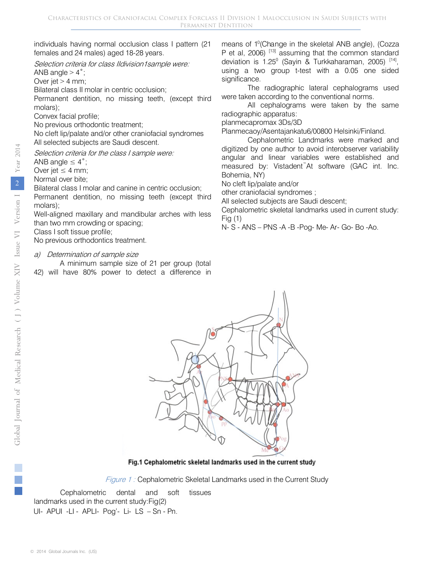individuals having normal occlusion class I pattern (21 females and 24 males) aged 18-28 years.

Selection criteria for class Ildivision1sample were:

ANB angle  $>$  4 $\degree$ ;

Over jet  $> 4$  mm;

Bilateral class II molar in centric occlusion;

Permanent dentition, no missing teeth, (except third molars);

Convex facial profile;

No previous orthodontic treatment;

No cleft lip/palate and/or other craniofacial syndromes All selected subjects are Saudi descent.

Selection criteria for the class I sample were:

ANB angle  $\leq 4^{\circ}$ ;

Over jet  $\leq 4$  mm;

Normal over bite;

Bilateral class I molar and canine in centric occlusion;

Permanent dentition, no missing teeth (except third molars);

Well-aligned maxillary and mandibular arches with less than two mm crowding or spacing;

Class I soft tissue profile;

No previous orthodontics treatment.

#### a) Determination of sample size

A minimum sample size of 21 per group (total 42) will have 80% power to detect a difference in means of 1<sup>0</sup> (Change in the skeletal ANB angle), (Cozza P et al,  $2006$ )  $^{[13]}$  assuming that the common standard deviation is  $1.25^{\circ}$  (Sayin & Turkkaharaman, 2005)  $[14]$ , using a two group t-test with a 0.05 one sided significance.

The radiographic lateral cephalograms used were taken according to the conventional norms.

All cephalograms were taken by the same radiographic apparatus:

planmecapromax 3Ds/3D

Planmecaoy/Asentajankatu6/00800 Helsinki/Finland.

Cephalometric Landmarks were marked and digitized by one author to avoid interobserver variability angular and linear variables were established and measured by: Vistadent™At software (GAC int. Inc. Bohemia, NY)

No cleft lip/palate and/or

other craniofacial syndromes ;

All selected subjects are Saudi descent;

Cephalometric skeletal landmarks used in current study: Fig (1)

N- S - ANS – PNS -A -B -Pog- Me- Ar- Go- Bo -Ao.



Fig.1 Cephalometric skeletal landmarks used in the current study

Figure 1: Cephalometric Skeletal Landmarks used in the Current Study

Cephalometric dental and soft tissues landmarks used in the current study:Fig(2) UI- APUI -LI - APLI- Pog'- Li- LS – Sn - Pn.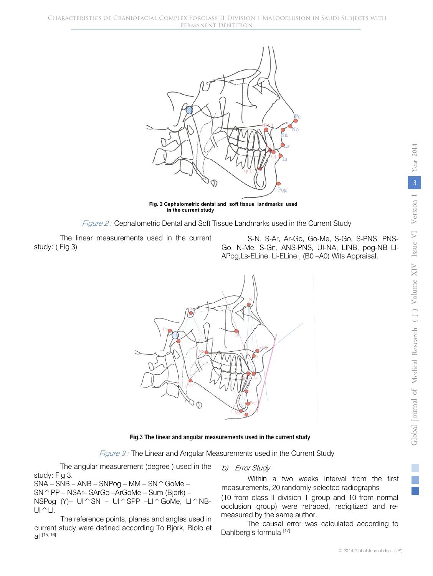

Fig. 2 Cephalometric dental and soft tissue landmarks used in the current study



The linear measurements used in the current study: ( Fig 3)

S-N, S-Ar, Ar-Go, Go-Me, S-Go, S-PNS, PNS-Go, N-Me, S-Gn, ANS-PNS, UI-NA, LINB, pog-NB LI-APog,Ls-ELine, Li-ELine , (B0 –A0) Wits Appraisal.



#### Fig.3 The linear and angular measurements used in the current study

Figure 3 : The Linear and Angular Measurements used in the Current Study

The angular measurement (degree ) used in the study: Fig 3.

 $SNA - SNB - ANB - SNPog - MM - SN  $\hat{G}$ oMe –$ SN^PP – NSAr– SArGo –ArGoMe – Sum (Bjork) – NSPog (Y)–  $UI \hat{S}N - UI \hat{S}PP -LI \hat{G}OMe$ ,  $LI \hat{B}B$ - $UI^{\wedge}LI.$ 

The reference points, planes and angles used in current study were defined according To Bjork, Riolo et al [15, 16]

#### b) Error Study

Within a two weeks interval from the first measurements, 20 randomly selected radiographs

(10 from class II division 1 group and 10 from normal occlusion group) were retraced, redigitized and remeasured by the same author.

The causal error was calculated according to Dahlberg's formula [17]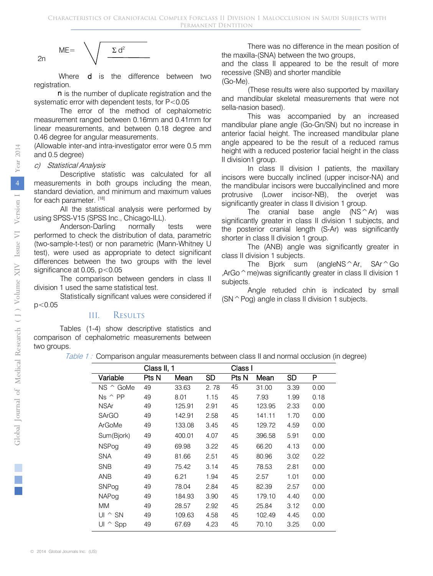$$
ME = \sqrt{\frac{\Sigma d^2}{\sqrt{2\pi}}}
$$

Where **d** is the difference between two registration.

n is the number of duplicate registration and the systematic error with dependent tests, for P<0.05

The error of the method of cephalometric measurement ranged between 0.16mm and 0.41mm for linear measurements, and between 0.18 degree and 0.46 degree for angular measurements.

(Allowable inter-and intra-investigator error were 0.5 mm and 0.5 degree)

#### c) Statistical Analysis

Descriptive statistic was calculated for all measurements in both groups including the mean, standard deviation, and minimum and maximum values for each parameter. [18]

All the statistical analysis were performed by using SPSS-V15 (SPSS Inc., Chicago-ILL).

Anderson-Darling normally tests were performed to check the distribution of data, parametric (two-sample-t-test) or non parametric (Mann-Whitney U test), were used as appropriate to detect significant differences between the two groups with the level significance at 0.05,  $p < 0.05$ 

The comparison between genders in class II division 1 used the same statistical test.

Statistically significant values were considered if  $p<0.05$ 

### III. Results

Tables (1-4) show descriptive statistics and comparison of cephalometric measurements between two groups.

There was no difference in the mean position of the maxilla-(SNA) between the two groups,

and the class II appeared to be the result of more recessive (SNB) and shorter mandible (Go-Me).

(These results were also supported by maxillary and mandibular skeletal measurements that were not sella-nasion based).

This was accompanied by an increased mandibular plane angle (Go-Gn/SN) but no increase in anterior facial height. The increased mandibular plane angle appeared to be the result of a reduced ramus height with a reduced posterior facial height in the class II division1 group.

In class II division I patients, the maxillary incisors were buccally inclined (upper incisor-NA) and the mandibular incisors were buccallyinclined and more protrusive (Lower incisor-NB), the overjet was significantly greater in class II division 1 group.

The cranial base angle  $(NS^{\wedge}Ar)$  was significantly greater in class II division 1 subjects, and the posterior cranial length (S-Ar) was significantly shorter in class II division 1 group.

The (ANB) angle was significantly greater in class II division 1 subjects.

The Bjork sum (angleNS<sup> $\wedge$ </sup>Ar, SAr $\wedge$ Go ,ArGo $\hat{\ }$  me)was significantly greater in class II division 1 subjects.

Angle retuded chin is indicated by small  $(SN \cap PQ)$  angle in class II division 1 subjects.

| Table 1: Comparison angular measurements between class II and normal occlusion (in degree) |  |  |  |
|--------------------------------------------------------------------------------------------|--|--|--|
|                                                                                            |  |  |  |
|                                                                                            |  |  |  |

|                     | Class II, 1 |        |      | Class I |        |      |      |
|---------------------|-------------|--------|------|---------|--------|------|------|
| Variable            | Pts N       | Mean   | SD   | Pts N   | Mean   | SD   | P    |
| NS ^ GoMe           | 49          | 33.63  | 2.78 | 45      | 31.00  | 3.39 | 0.00 |
| $Ns \wedge PP$      | 49          | 8.01   | 1.15 | 45      | 7.93   | 1.99 | 0.18 |
| <b>NSAr</b>         | 49          | 125.91 | 2.91 | 45      | 123.95 | 2.33 | 0.00 |
| <b>SArGO</b>        | 49          | 142.91 | 2.58 | 45      | 141.11 | 1.70 | 0.00 |
| ArGoMe              | 49          | 133.08 | 3.45 | 45      | 129.72 | 4.59 | 0.00 |
| Sum(Bjork)          | 49          | 400.01 | 4.07 | 45      | 396.58 | 5.91 | 0.00 |
| <b>NSPog</b>        | 49          | 69.98  | 3.22 | 45      | 66.20  | 4.13 | 0.00 |
| <b>SNA</b>          | 49          | 81.66  | 2.51 | 45      | 80.96  | 3.02 | 0.22 |
| <b>SNB</b>          | 49          | 75.42  | 3.14 | 45      | 78.53  | 2.81 | 0.00 |
| ANB                 | 49          | 6.21   | 1.94 | 45      | 2.57   | 1.01 | 0.00 |
| SNPog               | 49          | 78.04  | 2.84 | 45      | 82.39  | 2.57 | 0.00 |
| <b>NAPog</b>        | 49          | 184.93 | 3.90 | 45      | 179.10 | 4.40 | 0.00 |
| <b>MM</b>           | 49          | 28.57  | 2.92 | 45      | 25.84  | 3.12 | 0.00 |
| $UI \wedge SN$      | 49          | 109.63 | 4.58 | 45      | 102.49 | 4.45 | 0.00 |
| UI<br>$\hat{ }$ Spp | 49          | 67.69  | 4.23 | 45      | 70.10  | 3.25 | 0.00 |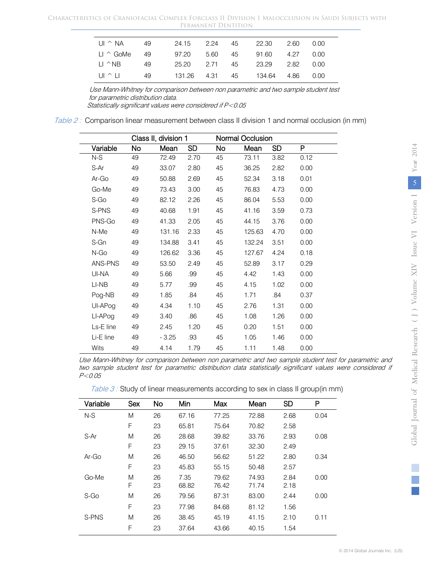| $U \cap \wedge N$     | 49 |       |  | 24.15 2.24 45 22.30 2.60 0.00       |  |  |
|-----------------------|----|-------|--|-------------------------------------|--|--|
| $11 \wedge$ GoMe      | 49 | 97.20 |  | 5.60    45    91.60    4.27    0.00 |  |  |
| $\Box$ $\land$ NR     | 49 |       |  | 25.20 2.71 45 23.29 2.82 0.00       |  |  |
| $\Box$ $\land$ $\Box$ | 49 |       |  | 131.26 4.31 45 134.64 4.86 0.00     |  |  |

Use Mann-Whitney for comparison between non parametric and two sample student test for parametric distribution data.

Statistically significant values were considered if P<0.05

Table 2 : Comparison linear measurement between class II division 1 and normal occlusion (in mm)

|           | Class II, division 1 |         |           |    | Normal Occlusion |           |      |
|-----------|----------------------|---------|-----------|----|------------------|-----------|------|
| Variable  | No                   | Mean    | <b>SD</b> | No | Mean             | <b>SD</b> | P    |
| N-S       | 49                   | 72.49   | 2.70      | 45 | 73.11            | 3.82      | 0.12 |
| S-Ar      | 49                   | 33.07   | 2.80      | 45 | 36.25            | 2.82      | 0.00 |
| Ar-Go     | 49                   | 50.88   | 2.69      | 45 | 52.34            | 3.18      | 0.01 |
| Go-Me     | 49                   | 73.43   | 3.00      | 45 | 76.83            | 4.73      | 0.00 |
| S-Go      | 49                   | 82.12   | 2.26      | 45 | 86.04            | 5.53      | 0.00 |
| S-PNS     | 49                   | 40.68   | 1.91      | 45 | 41.16            | 3.59      | 0.73 |
| PNS-Go    | 49                   | 41.33   | 2.05      | 45 | 44.15            | 3.76      | 0.00 |
| N-Me      | 49                   | 131.16  | 2.33      | 45 | 125.63           | 4.70      | 0.00 |
| S-Gn      | 49                   | 134.88  | 3.41      | 45 | 132.24           | 3.51      | 0.00 |
| N-Go      | 49                   | 126.62  | 3.36      | 45 | 127.67           | 4.24      | 0.18 |
| ANS-PNS   | 49                   | 53.50   | 2.49      | 45 | 52.89            | 3.17      | 0.29 |
| UI-NA     | 49                   | 5.66    | .99       | 45 | 4.42             | 1.43      | 0.00 |
| LI-NB     | 49                   | 5.77    | .99       | 45 | 4.15             | 1.02      | 0.00 |
| Pog-NB    | 49                   | 1.85    | .84       | 45 | 1.71             | .84       | 0.37 |
| UI-APog   | 49                   | 4.34    | 1.10      | 45 | 2.76             | 1.31      | 0.00 |
| LI-APog   | 49                   | 3.40    | .86       | 45 | 1.08             | 1.26      | 0.00 |
| Ls-E line | 49                   | 2.45    | 1.20      | 45 | 0.20             | 1.51      | 0.00 |
| Li-E line | 49                   | $-3.25$ | .93       | 45 | 1.05             | 1.46      | 0.00 |
| Wits      | 49                   | 4.14    | 1.79      | 45 | 1.11             | 1.48      | 0.00 |

Use Mann-Whitney for comparison between non parametric and two sample student test for parametric and two sample student test for parametric distribution data statistically significant values were considered if P<0.05

|  | Table 3 : Study of linear measurements according to sex in class II group(in mm) |  |  |  |
|--|----------------------------------------------------------------------------------|--|--|--|
|  |                                                                                  |  |  |  |

| Variable | Sex | <b>No</b> | Min   | Max   | Mean  | <b>SD</b> | P    |
|----------|-----|-----------|-------|-------|-------|-----------|------|
| $N-S$    | M   | 26        | 67.16 | 77.25 | 72.88 | 2.68      | 0.04 |
|          | F   | 23        | 65.81 | 75.64 | 70.82 | 2.58      |      |
| S-Ar     | M   | 26        | 28.68 | 39.82 | 33.76 | 2.93      | 0.08 |
|          | F   | 23        | 29.15 | 37.61 | 32.30 | 2.49      |      |
| $Ar-Go$  | M   | 26        | 46.50 | 56.62 | 51.22 | 2.80      | 0.34 |
|          | F   | 23        | 45.83 | 55.15 | 50.48 | 2.57      |      |
| Go-Me    | M   | 26        | 7.35  | 79.62 | 74.93 | 2.84      | 0.00 |
|          | F   | 23        | 68.82 | 76.42 | 71.74 | 2.18      |      |
| S-Go     | M   | 26        | 79.56 | 87.31 | 83.00 | 2.44      | 0.00 |
|          | F   | 23        | 77.98 | 84.68 | 81.12 | 1.56      |      |
| S-PNS    | M   | 26        | 38.45 | 45.19 | 41.15 | 2.10      | 0.11 |
|          | F   | 23        | 37.64 | 43.66 | 40.15 | 1.54      |      |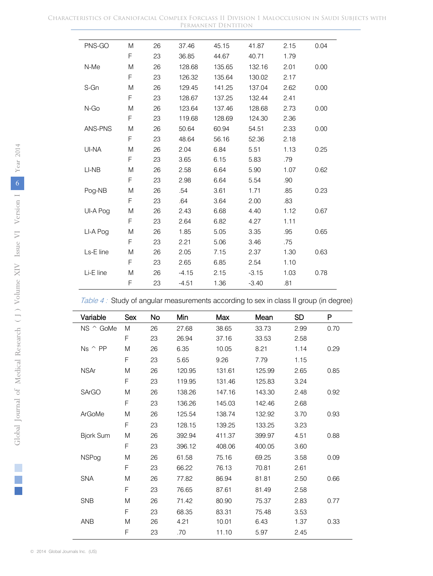#### Characteristics of Craniofacial Complex Forclass II Division 1 Malocclusion in Saudi Subjects with Permanent Dentition

| PNS-GO         | M | 26 | 37.46   | 45.15  | 41.87   | 2.15 | 0.04 |
|----------------|---|----|---------|--------|---------|------|------|
|                | F | 23 | 36.85   | 44.67  | 40.71   | 1.79 |      |
| N-Me           | M | 26 | 128.68  | 135.65 | 132.16  | 2.01 | 0.00 |
|                | F | 23 | 126.32  | 135.64 | 130.02  | 2.17 |      |
| S-Gn           | M | 26 | 129.45  | 141.25 | 137.04  | 2.62 | 0.00 |
|                | F | 23 | 128.67  | 137.25 | 132.44  | 2.41 |      |
| N-Go           | M | 26 | 123.64  | 137.46 | 128.68  | 2.73 | 0.00 |
|                | F | 23 | 119.68  | 128.69 | 124.30  | 2.36 |      |
| <b>ANS-PNS</b> | M | 26 | 50.64   | 60.94  | 54.51   | 2.33 | 0.00 |
|                | F | 23 | 48.64   | 56.16  | 52.36   | 2.18 |      |
| UI-NA          | M | 26 | 2.04    | 6.84   | 5.51    | 1.13 | 0.25 |
|                | F | 23 | 3.65    | 6.15   | 5.83    | .79  |      |
| LI-NB          | M | 26 | 2.58    | 6.64   | 5.90    | 1.07 | 0.62 |
|                | F | 23 | 2.98    | 6.64   | 5.54    | .90  |      |
| Pog-NB         | M | 26 | .54     | 3.61   | 1.71    | .85  | 0.23 |
|                | F | 23 | .64     | 3.64   | 2.00    | .83  |      |
| UI-A Pog       | M | 26 | 2.43    | 6.68   | 4.40    | 1.12 | 0.67 |
|                | F | 23 | 2.64    | 6.82   | 4.27    | 1.11 |      |
| LI-A Pog       | M | 26 | 1.85    | 5.05   | 3.35    | .95  | 0.65 |
|                | F | 23 | 2.21    | 5.06   | 3.46    | .75  |      |
| Ls-E line      | M | 26 | 2.05    | 7.15   | 2.37    | 1.30 | 0.63 |
|                | F | 23 | 2.65    | 6.85   | 2.54    | 1.10 |      |
| Li-E line      | M | 26 | $-4.15$ | 2.15   | $-3.15$ | 1.03 | 0.78 |
|                | F | 23 | $-4.51$ | 1.36   | $-3.40$ | .81  |      |

Table 4: Study of angular measurements according to sex in class II group (in degree)

| Variable         | Sex | No | Min    | Max    | Mean   | <b>SD</b> | P    |
|------------------|-----|----|--------|--------|--------|-----------|------|
| NS ^ GoMe        | M   | 26 | 27.68  | 38.65  | 33.73  | 2.99      | 0.70 |
|                  | F   | 23 | 26.94  | 37.16  | 33.53  | 2.58      |      |
| $Ns \wedge PP$   | M   | 26 | 6.35   | 10.05  | 8.21   | 1.14      | 0.29 |
|                  | F   | 23 | 5.65   | 9.26   | 7.79   | 1.15      |      |
| <b>NSAr</b>      | M   | 26 | 120.95 | 131.61 | 125.99 | 2.65      | 0.85 |
|                  | F   | 23 | 119.95 | 131.46 | 125.83 | 3.24      |      |
| <b>SArGO</b>     | M   | 26 | 138.26 | 147.16 | 143.30 | 2.48      | 0.92 |
|                  | F   | 23 | 136.26 | 145.03 | 142.46 | 2.68      |      |
| ArGoMe           | M   | 26 | 125.54 | 138.74 | 132.92 | 3.70      | 0.93 |
|                  | F   | 23 | 128.15 | 139.25 | 133.25 | 3.23      |      |
| <b>Bjork Sum</b> | M   | 26 | 392.94 | 411.37 | 399.97 | 4.51      | 0.88 |
|                  | F   | 23 | 396.12 | 408.06 | 400.05 | 3.60      |      |
| <b>NSPog</b>     | M   | 26 | 61.58  | 75.16  | 69.25  | 3.58      | 0.09 |
|                  | F   | 23 | 66.22  | 76.13  | 70.81  | 2.61      |      |
| <b>SNA</b>       | M   | 26 | 77.82  | 86.94  | 81.81  | 2.50      | 0.66 |
|                  | F   | 23 | 76.65  | 87.61  | 81.49  | 2.58      |      |
| <b>SNB</b>       | M   | 26 | 71.42  | 80.90  | 75.37  | 2.83      | 0.77 |
|                  | F   | 23 | 68.35  | 83.31  | 75.48  | 3.53      |      |
| ANB              | M   | 26 | 4.21   | 10.01  | 6.43   | 1.37      | 0.33 |
|                  | F   | 23 | .70    | 11.10  | 5.97   | 2.45      |      |

 $\mathbb{R}^n$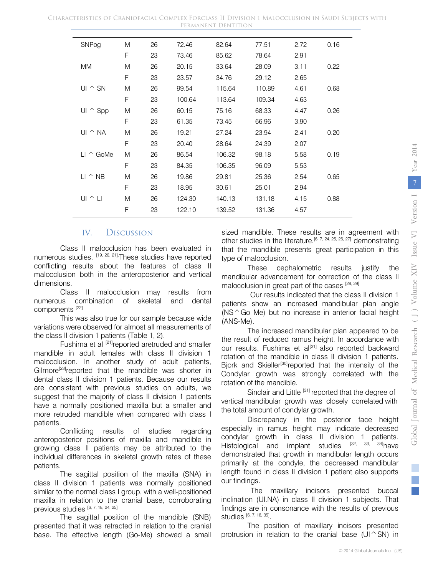| SNPog                     | M | 26 | 72.46  | 82.64  | 77.51  | 2.72 | 0.16 |
|---------------------------|---|----|--------|--------|--------|------|------|
|                           | F | 23 | 73.46  | 85.62  | 78.64  | 2.91 |      |
| <b>MM</b>                 | M | 26 | 20.15  | 33.64  | 28.09  | 3.11 | 0.22 |
|                           | F | 23 | 23.57  | 34.76  | 29.12  | 2.65 |      |
| UI $\hat{\ }$ SN          | M | 26 | 99.54  | 115.64 | 110.89 | 4.61 | 0.68 |
|                           | F | 23 | 100.64 | 113.64 | 109.34 | 4.63 |      |
| UI $\hat{ }$ Spp          | M | 26 | 60.15  | 75.16  | 68.33  | 4.47 | 0.26 |
|                           | F | 23 | 61.35  | 73.45  | 66.96  | 3.90 |      |
| UI ^ NA                   | M | 26 | 19.21  | 27.24  | 23.94  | 2.41 | 0.20 |
|                           | F | 23 | 20.40  | 28.64  | 24.39  | 2.07 |      |
| $LI \,\,^{\wedge}\,$ GoMe | M | 26 | 86.54  | 106.32 | 98.18  | 5.58 | 0.19 |
|                           | F | 23 | 84.35  | 106.35 | 96.09  | 5.53 |      |
| $LI \,$ $\wedge$ NB       | M | 26 | 19.86  | 29.81  | 25.36  | 2.54 | 0.65 |
|                           | F | 23 | 18.95  | 30.61  | 25.01  | 2.94 |      |
| $UI \,\,^{\sim}$ $LI$     | M | 26 | 124.30 | 140.13 | 131.18 | 4.15 | 0.88 |
|                           | F | 23 | 122.10 | 139.52 | 131.36 | 4.57 |      |

#### IV. Discussion

Class II malocclusion has been evaluated in numerous studies. [19, 20, 21].These studies have reported conflicting results about the features of class II malocclusion both in the anteroposterior and vertical dimensions.

 numerous combination of skeletal and dental Class II malocclusion may results from components [22]

This was also true for our sample because wide variations were observed for almost all measurements of the class II division 1 patients (Table 1, 2).

Fushima et al [21] reported aretruded and smaller mandible in adult females with class II division 1 malocclusion. In another study of adult patients, Gilmore<sup>[23]</sup>reported that the mandible was shorter in dental class II division 1 patients. Because our results are consistent with previous studies on adults, we suggest that the majority of class II division 1 patients have a normally positioned maxilla but a smaller and more retruded mandible when compared with class I patients.

Conflicting results of studies regarding anteroposterior positions of maxilla and mandible in growing class II patients may be attributed to the individual differences in skeletal growth rates of these patients.

The sagittal position of the maxilla (SNA) in class II division 1 patients was normally positioned similar to the normal class I group, with a well-positioned maxilla in relation to the cranial base, corroborating previous studies [6, 7, 18, 24, 25]

The sagittal position of the mandible (SNB) presented that it was retracted in relation to the cranial base. The effective length (Go-Me) showed a small sized mandible. These results are in agreement with other studies in the literature.<sup>[6, 7, 24, 25, 26, 27]</sup> demonstrating that the mandible presents great participation in this type of malocclusion.

These cephalometric results justify the mandibular advancement for correction of the class II malocclusion in great part of the cases [28, 29]

Our results indicated that the class II division 1 patients show an increased mandibular plan angle (NS^Go Me) but no increase in anterior facial height (ANS-Me).

The increased mandibular plan appeared to be the result of reduced ramus height. In accordance with our results. Fushima et al<sup>[21]</sup> also reported backward rotation of the mandible in class II division 1 patients. Bjork and Skieller<sup>[30]</sup>reported that the intensity of the Condylar growth was strongly correlated with the rotation of the mandible.

Sinclair and Little [31] reported that the degree of vertical mandibular growth was closely correlated with the total amount of condylar growth.

Discrepancy in the posterior face height especially in ramus height may indicate decreased condylar growth in class II division 1 patients. Histological and implant studies [32, 33, 34]have demonstrated that growth in mandibular length occurs primarily at the condyle, the decreased mandibular length found in class II division 1 patient also supports our findings.

The maxillary incisors presented buccal inclination (UI.NA) in class II division 1 subjects. That findings are in consonance with the results of previous studies [6, 7, 18, 35].

The position of maxillary incisors presented protrusion in relation to the cranial base ( $UI^{\wedge}SN$ ) in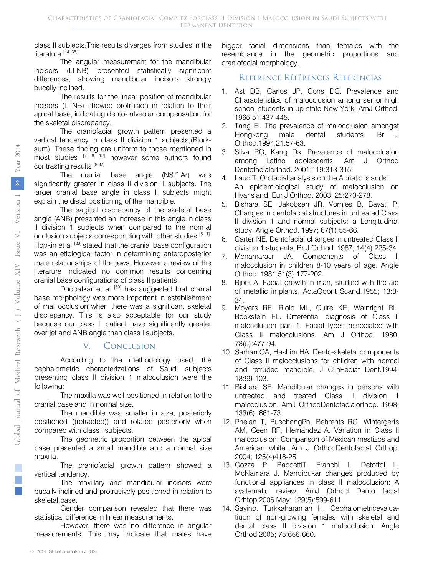class II subjects.This results diverges from studies in the literature<sup>[14,36,]</sup>

The angular measurement for the mandibular incisors (LI-NB) presented statistically significant differences, showing mandibular incisors strongly bucally inclined.

The results for the linear position of mandibular incisors (LI-NB) showed protrusion in relation to their apical base, indicating dento- alveolar compensation for the skeletal discrepancy.

The craniofacial growth pattern presented a vertical tendency in class II division 1 subjects,(Bjorksum). These finding are uniform to those mentioned in most studies  $\begin{bmatrix} 7, & 8, & 12 \end{bmatrix}$ , however some authors found contrasting results [9,37]

The cranial base angle  $(NS ^Ar)$  was significantly greater in class II division 1 subjects. The larger cranial base angle in class II subjects might explain the distal positioning of the mandible.

The sagittal discrepancy of the skeletal base angle (ANB) presented an increase in this angle in class II division 1 subjects when compared to the normal occlusion subjects corresponding with other studies [5,11] Hopkin et al [38] stated that the cranial base configuration was an etiological factor in determining anteroposterior male relationships of the jaws. However a review of the literarure indicated no common results concerning cranial base configurations of class II patients.

Dhopatkar et al [39] has suggested that cranial base morphology was more important in establishment of mal occlusion when there was a significant skeletal discrepancy. This is also acceptable for our study because our class II patient have significantly greater over jet and ANB angle than class I subjects.

## V. Conclusion

According to the methodology used, the cephalometric characterizations of Saudi subjects presenting class II division 1 malocclusion were the following:

The maxilla was well positioned in relation to the cranial base and in normal size.

The mandible was smaller in size, posteriorly positioned ((retracted)) and rotated posteriorly when compared with class I subjects.

The geometric proportion between the apical base presented a small mandible and a normal size maxilla.

The craniofacial growth pattern showed a vertical tendency.

The maxillary and mandibular incisors were bucally inclined and protrusively positioned in relation to skeletal base.

Gender comparison revealed that there was statistical difference in linear measurements.

However, there was no difference in angular measurements. This may indicate that males have bigger facial dimensions than females with the resemblance in the geometric proportions and craniofacial morphology.

### Reference Références Referencias

- 1. Ast DB, Carlos JP, Cons DC. Prevalence and Characteristics of malocclusion among senior high school students in up-state New York. AmJ Orthod. 1965;51:437-445.
- 2. Tang El. The prevalence of malocclusion amongst Hongkong male dental students. Br Orthod.1994;21:57-63.
- 3. Silva RG, Kang Ds. Prevalence of malocclusion among Latino adolescents. Am J Orthod Dentofacialorthod. 2001;119:313-315.
- 4. Lauc T. Orofacial analysis on the Adriatic islands: An epidemiological study of malocclusion on Hvarisland. Eur J Orthod. 2003; 25:273-278.
- 5. Bishara SE, Jakobsen JR, Vorhies B, Bayati P. Changes in dentofacial structures in untreated Class II division 1 and normal subjects: a Longitudinal study. Angle Orthod. 1997; 67(1):55-66.
- 6. Carter NE. Dentofacial changes in untreated Class II division 1 students. Br J Orthod. 1987; 14(4):225-34.
- 7. McnamaraJr JA. Components of Class II malocclusion in children 8-10 years of age. Angle Orthod. 1981;51(3):177-202.
- 8. Bjork A. Facial growth in man, studied with the aid of metallic implants. ActaOdont Scand.1955; 13:8- 34.
- 9. Moyers RE, Riolo ML, Guire KE, Wainright RL, Bookstein FL. Differential diagnosis of Class II malocclusion part 1. Facial types associated with Class II malocclusions. Am J Orthod. 1980; 78(5):477-94.
- 10. Sarhan OA, Hashim HA. Dento-skeletal components of Class II malocclusions for children with normal and retruded mandible. J ClinPediat Dent.1994; 18:99-103.
- 11. Bishara SE. Mandibular changes in persons with untreated and treated Class II division 1 malocclusion. AmJ OrthodDentofacialorthop. 1998; 133(6): 661-73.
- 12. Phelan T, BuschangPh, Behrents RG, Wintergerts AM, Ceen RF, Hernandez A. Variation in Class II malocclusion: Comparison of Mexican mestizos and American white. Am J OrthodDentofacial Orthop. 2004; 125(4)418-25.
- 13. Cozza P, BaccettiT, Franchi L, Detoffol L, McNamara J. Mandibukar changes produced by functional appliances in class II malocclusion: A systematic review. AmJ Orthod Dento facial Orhtop.2006 May; 129(5):599-611.
- 14. Sayino, Turkkaharaman H. Cephalometricevaluatiuon of non-growing females with skeletal and dental class II division 1 malocclusion. Angle Orthod.2005; 75:656-660.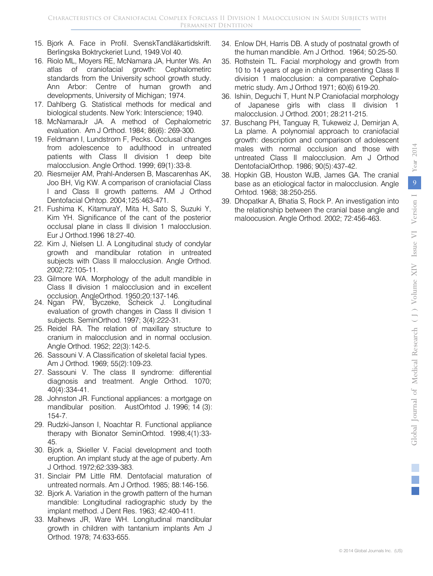- 15. Bjork A. Face in Profil. SvenskTandläkartidskrift. Berlingska Boktryckeriet Lund, 1949.Vol 40.
- 16. Riolo ML, Moyers RE, McNamara JA, Hunter Ws. An atlas of craniofacial growth: Cephalometirc standards from the University school growth study. Ann Arbor: Centre of human growth and developments, University of Michigan; 1974.
- 17. Dahlberg G. Statistical methods for medical and biological students. New York: Interscience; 1940.
- 18. McNamaraJr JA. A method of Cephalometric evaluation. Am J Orthod. 1984; 86(6): 269-300.
- 19. Feldmann I, Lundstrom F, Pecks. Occlusal changes from adolescence to adulthood in untreated patients with Class II division 1 deep bite malocclusion. Angle Orthod. 1999; 69(1):33-8.
- Dentofacial Orhtop. 2004;125:463-471. 20. Riesmeijer AM, Prahl-Andersen B, Mascarenhas AK, Joo BH, Vig KW. A comparison of craniofacial Class I and Class II growth patterns. AM J Orthod
- 21. Fushima K, KitamuraY, Mita H, Sato S, Suzuki Y, Kim YH. Significance of the cant of the posterior occlusal plane in class II division 1 malocclusion. Eur J Orthod.1996 18:27-40.
- 22. Kim J, Nielsen LI. A Longitudinal study of condylar growth and mandibular rotation in untreated subjects with Class II malocclusion. Angle Orthod. 2002;72:105-11.
- 23. Gilmore WA. Morphology of the adult mandible in Class II division 1 malocclusion and in excellent occlusion. AngleOrthod. 1950;20:137-146.
- 24. Ngan PW, Byczeke, Scheick J. Longitudinal evaluation of growth changes in Class II division 1 subjects. SeminOrthod. 1997; 3(4):222-31.
- 25. Reidel RA. The relation of maxillary structure to cranium in malocclusion and in normal occlusion. Angle Orthod. 1952; 22(3):142-5.
- 26. Sassouni V. A Classification of skeletal facial types. Am J Orthod. 1969; 55(2):109-23.
- 27. Sassouni V. The class II syndrome: differential diagnosis and treatment. Angle Orthod. 1070; 40(4):334-41.
- 28. Johnston JR. Functional appliances: a mortgage on mandibular position. AustOrhtod J. 1996; 14 (3): 154-7.
- 29. Rudzki-Janson I, Noachtar R. Functional appliance therapy with Bionator SeminOrhtod. 1998;4(1):33- 45.
- 30. Bjork a, Skieller V. Facial development and tooth eruption. An implant study at the age of puberty. Am J Orthod. 1972;62:339-383.
- 31. Sinclair PM Little RM. Dentofacial maturation of untreated normals. Am J Orthod. 1985; 88:146-156.
- 32. Bjork A. Variation in the growth pattern of the human mandible: Longitudinal radiographic study by the implant method. J Dent Res. 1963; 42:400-411.
- 33. Malhews JR, Ware WH. Longitudinal mandibular growth in children with tantanium implants Am J Orthod. 1978; 74:633-655.
- 34. Enlow DH, Harris DB. A study of postnatal growth of the human mandible. Am J Orthod. 1964; 50:25-50.
- 35. Rothstein TL. Facial morphology and growth from 10 to 14 years of age in children presenting Class II division 1 malocclusion: a comparative Cephalometric study. Am J Orthod 1971; 60(6) 619-20.
- 36. Ishiin, Deguchi T, Hunt N.P Craniofacial morphology of Japanese girls with class II division 1 malocclusion. J Orthod. 2001; 28:211-215.
- 37. Buschang PH, Tanguay R, Tukeweiz J, Demirjan A, La plame. A polynomial approach to craniofacial growth: description and comparison of adolescent males with normal occlusion and those with untreated Class II malocclusion. Am J Orthod DentofacialOrthop. 1986; 90(5):437-42.
- 38. Hopkin GB, Houston WJB, James GA. The cranial base as an etiological factor in malocclusion. Angle Orhtod. 1968; 38:250-255.
- 39. Dhopatkar A, Bhatia S, Rock P. An investigation into the relationship between the cranial base angle and maloocusion. Angle Orthod. 2002; 72:456-463.